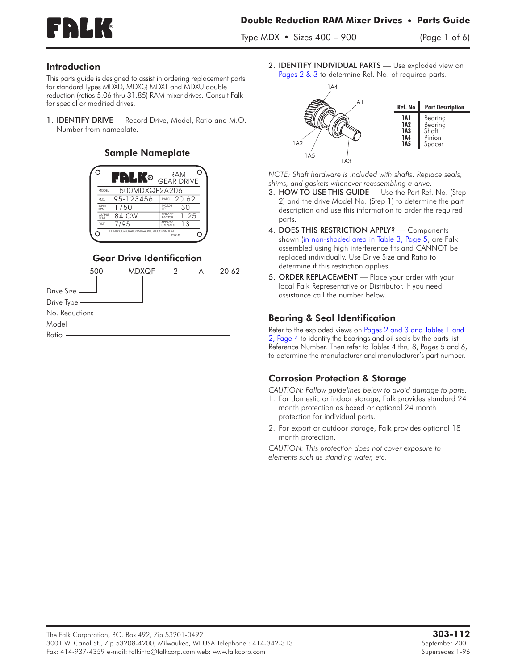

Type MDX • Sizes 400 – 900 (Page 1 of 6)

### Introduction

This parts guide is designed to assist in ordering replacement parts for standard Types MDXD, MDXQ MDXT and MDXU double reduction (ratios 5.06 thru 31.85) RAM mixer drives. Consult Falk for special or modified drives.

1. IDENTIFY DRIVE — Record Drive, Model, Ratio and M.O. Number from nameplate.

## Sample Nameplate



# Gear Drive Identification



2. IDENTIFY INDIVIDUAL PARTS — Use exploded view on Pages 2 & 3 to determine Ref. No. of required parts.



*NOTE: Shaft hardware is included with shafts. Replace seals, shims, and gaskets whenever reassembling a drive.*

- 3. HOW TO USE THIS GUIDE Use the Part Ref. No. (Step 2) and the drive Model No. (Step 1) to determine the part description and use this information to order the required parts.
- 4. DOES THIS RESTRICTION APPLY? Components shown (in [non-shaded](#page-4-0) area in Table 3, Page 5, are Falk assembled using high interference fits and CANNOT be replaced individually. Use Drive Size and Ratio to determine if this restriction applies.
- 5. ORDER REPLACEMENT Place your order with your local Falk Representative or Distributor. If you need assistance call the number below.

## Bearing & Seal Identification

Refer to the exploded views on [Pages](#page-1-1) 2 and 3 and [Tables](#page-3-0) 1 and 2, [Page](#page-3-0) 4 to identify the bearings and oil seals by the parts list Reference Number. Then refer to Tables 4 thru 8, Pages 5 and 6, to determine the manufacturer and manufacturer's part number.

## Corrosion Protection & Storage

*CAUTION: Follow guidelines below to avoid damage to parts.*

- 1. For domestic or indoor storage, Falk provides standard 24 month protection as boxed or optional 24 month protection for individual parts.
- 2. For export or outdoor storage, Falk provides optional 18 month protection.

*CAUTION: This protection does not cover exposure to elements such as standing water, etc.*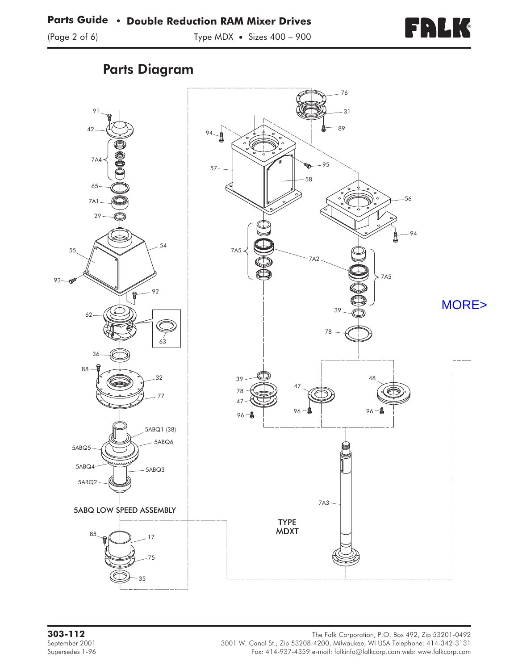

# Parts Diagram

<span id="page-1-1"></span><span id="page-1-0"></span>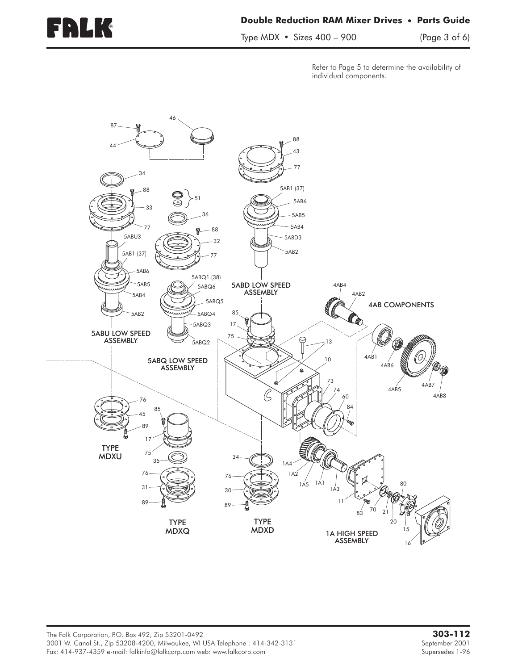Type MDX • Sizes 400 – 900 (Page 3 of 6)

Refer to Page 5 to determine the availability of individual components.

<span id="page-2-0"></span>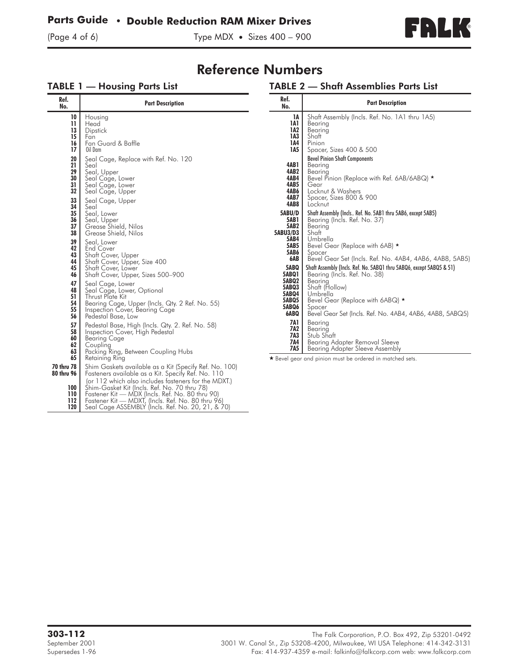# <span id="page-3-0"></span>**Parts Guide • Double Reduction RAM Mixer Drives**



# Reference Numbers

#### TABLE 1 — Housing Parts List

#### TABLE 2 — Shaft Assemblies Parts List

| Shaft Assembly (Incls Ref. No. 5AB1 thru 5AB6, except 5AB5)<br>Bevel Gear Set (Incls. Ref. No. 4AB4, 4AB6, 4AB8, 5AB5)<br>Shaft Assembly (Incls. Ref. No. 5ABQ1 thru 5ABQ6, except 5ABQ5 & 51)<br>Bevel Gear Set (Incls. Ref. No. 4AB4, 4AB6, 4AB8, 5ABQ5) |
|------------------------------------------------------------------------------------------------------------------------------------------------------------------------------------------------------------------------------------------------------------|
|                                                                                                                                                                                                                                                            |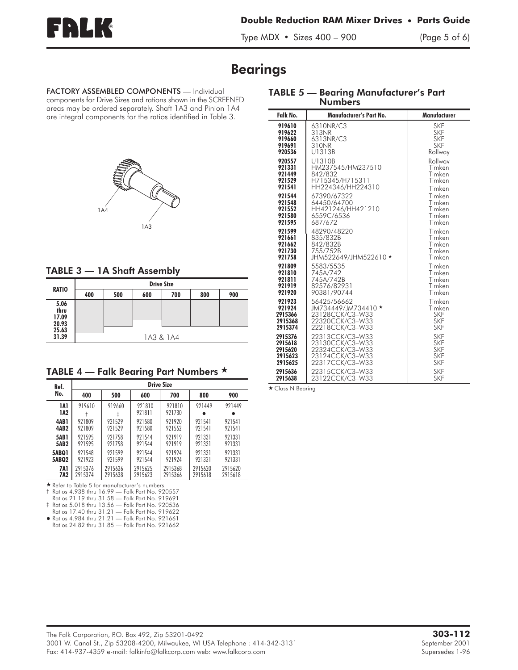<span id="page-4-0"></span>

TABLE 5 — Bearing Manufacturer's Part

Type MDX • Sizes 400 – 900 (Page 5 of 6)

# Bearings

FACTORY ASSEMBLED COMPONENTS — Individual components for Drive Sizes and rations shown in the SCREENED areas may be ordered separately. Shaft 1A3 and Pinion 1A4 are integral components for the ratios identified in Table 3.



#### TABLE 3 — 1A Shaft Assembly

|                                | <b>Drive Size</b> |     |     |     |     |     |
|--------------------------------|-------------------|-----|-----|-----|-----|-----|
| <b>RATIO</b>                   | 400               | 500 | 600 | 700 | 800 | 900 |
| 5.06<br>thru<br>17.09<br>20.93 |                   |     |     |     |     |     |
| 25.63<br>31.39                 | 1A3 & 1A4         |     |     |     |     |     |

TABLE 4 — Falk Bearing Part Numbers  $\star$ 

| Ref.        | <b>Drive Size</b> |         |                  |                  |         |         |  |
|-------------|-------------------|---------|------------------|------------------|---------|---------|--|
| No.         | 400               | 500     | 600              | 700              | 800     | 900     |  |
| 1A1<br>1A2  | 919610            | 919660  | 921810<br>921811 | 921810<br>921730 | 921449  | 921449  |  |
| 4AB1        | 921809            | 921529  | 921580           | 921920           | 921541  | 921541  |  |
| <b>4AB2</b> | 921809            | 921529  | 921580           | 921552           | 921541  | 921541  |  |
| <b>5AB1</b> | 921595            | 921758  | 921544           | 971919           | 921331  | 921331  |  |
| <b>5AB2</b> | 921595            | 921758  | 921544           | 971919           | 921331  | 921331  |  |
| 5ABQ1       | 921548            | 921599  | 921544           | 921924           | 921331  | 921331  |  |
| 5ABQ2       | 921923            | 921599  | 921544           | 921924           | 921331  | 921331  |  |
| <b>7A1</b>  | 2915376           | 2915636 | 2915625          | 2915368          | 2915620 | 2915620 |  |
| 7A2         | 2915374           | 2915638 | 2915623          | 2915366          | 2915618 | 2915618 |  |

Refer to Table 5 for manufacturer's numbers.

† Ratios 4.938 thru 16.99 — Falk Part No. 920557

Ratios 21.19 thru 31.58 — Falk Part No. 919691 ‡ Ratios 5.018 thru 13.56 — Falk Part No. 920536

Ratios 17.40 thru 31.21 — Falk Part No. 919622 Ratios 4.984 thru 21.21 — Falk Part No. 921661

Ratios 24.82 thru 31.85 — Falk Part No. 921662

| <b>Numbers</b> |                         |              |  |  |  |  |
|----------------|-------------------------|--------------|--|--|--|--|
| Falk No.       | Manufacturer's Part No. | Manufacturer |  |  |  |  |
| 919610         | 6310NR/C3               | <b>SKF</b>   |  |  |  |  |
| 919622         | 313NR                   | <b>SKF</b>   |  |  |  |  |
| 919660         | 6313NR/C3               | <b>SKF</b>   |  |  |  |  |
| 919691         | 310NR                   | <b>SKF</b>   |  |  |  |  |
| 920536         | U1313B                  | Rollway      |  |  |  |  |
| 920557         | U1310B                  | Rollwav      |  |  |  |  |
| 921331         | HM237545/HM237510       | Timken       |  |  |  |  |
| 921449         | 842/832                 | Timken       |  |  |  |  |
| 921529         | H715345/H715311         | Timken       |  |  |  |  |
| 921541         | HH224346/HH224310       | Timken       |  |  |  |  |
| 921544         | 67390/67322             | Timken       |  |  |  |  |
| 921548         | 64450/64700             | Timken       |  |  |  |  |
| 921552         | HH421246/HH421210       | Timken       |  |  |  |  |
| 921580         | 6559C/6536              | Timken       |  |  |  |  |
| 921595         | 687/672                 | Timken       |  |  |  |  |
| 921599         | 48290/48220             | Timken       |  |  |  |  |
| 921661         | 835/832B                | Timken       |  |  |  |  |
| 921662         | 842/832B                | Timken       |  |  |  |  |
| 921730         | 755/752B                | Timken       |  |  |  |  |
| 921758         | JHM522649/JHM522610 *   | Timken       |  |  |  |  |
| 921809         | 5583/5535               | Timken       |  |  |  |  |
| 921810         | 745A/742                | Timken       |  |  |  |  |
| 921811         | 745A/742B               | Timken       |  |  |  |  |
| 921919         | 82576/82931             | Timken       |  |  |  |  |
| 921920         | 90381/90744             | Timken       |  |  |  |  |
| 921923         | 56425/56662             | Timken       |  |  |  |  |
| 921924         | JM734449/JM734410 *     | Timken       |  |  |  |  |
| 2915366        | 23128CCK/C3-W33         | <b>SKF</b>   |  |  |  |  |
| 2915368        | 22320CCK/C3-W33         | <b>SKF</b>   |  |  |  |  |
| 2915374        | 22218CCK/C3-W33         | <b>SKF</b>   |  |  |  |  |
| 2915376        | 22313CCK/C3-W33         | <b>SKF</b>   |  |  |  |  |
| 2915618        | 23130CCK/C3-W33         | <b>SKF</b>   |  |  |  |  |
| 2915620        | 22324CCK/C3-W33         | <b>SKF</b>   |  |  |  |  |
| 2915623        | 23124CCK/C3-W33         | <b>SKF</b>   |  |  |  |  |
| 2915625        | 22317CCK/C3-W33         | <b>SKF</b>   |  |  |  |  |
| 2915636        | 22315CCK/C3-W33         | <b>SKF</b>   |  |  |  |  |
| 2915638        | 23122CCK/C3-W33         | <b>SKF</b>   |  |  |  |  |

Class N Bearing